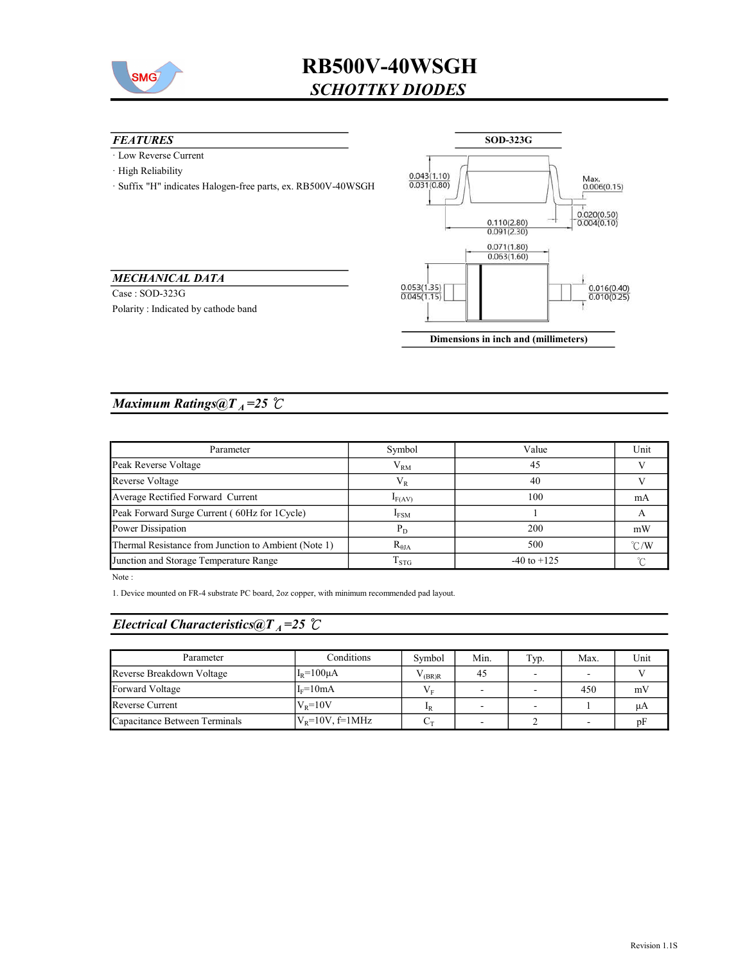

# RB500V-40WSGH SCHOTTKY DIODES

#### **FEATURES**

· Low Reverse Current

MECHANICAL DATA Case : SOD-323G

Polarity : Indicated by cathode band

· High Reliability

· Suffix "H" indicates Halogen-free parts, ex. RB500V-40WSGH



Dimensions in inch and (millimeters)

### Maximum Ratings@ $T_A = 25$  °C

| Parameter                                            | Symbol          | Value           | Unit          |
|------------------------------------------------------|-----------------|-----------------|---------------|
| Peak Reverse Voltage                                 | $V_{RM}$        | 45              |               |
| Reverse Voltage                                      | $V_{R}$         | 40              |               |
| Average Rectified Forward Current                    | $I_{F(AV)}$     | 100             | mA            |
| Peak Forward Surge Current (60Hz for 1 Cycle)        | $I_{FSM}$       |                 |               |
| Power Dissipation                                    | $P_D$           | 200             | mW            |
| Thermal Resistance from Junction to Ambient (Note 1) | $R_{\theta JA}$ | 500             | $\degree$ C/W |
| Junction and Storage Temperature Range               | $T_{\rm STG}$   | $-40$ to $+125$ |               |

Note :

1. Device mounted on FR-4 substrate PC board, 2oz copper, with minimum recommended pad layout.

## Electrical Characteristics@T<sub>A</sub>=25  $\mathcal{C}$

| Parameter                     | Conditions           | Symbol         | Min.   | Typ.           | Max. | Unit |
|-------------------------------|----------------------|----------------|--------|----------------|------|------|
| Reverse Breakdown Voltage     | $IR=100\mu A$        | $\sqrt{(BR)R}$ | 45     |                |      |      |
| Forward Voltage               | $IF=10mA$            | $V_{\rm E}$    | $\sim$ | $\overline{a}$ | 450  | mV   |
| Reverse Current               | $VB=10V$             | 1 <sub>R</sub> |        |                |      | иA   |
| Capacitance Between Terminals | $V_R = 10V$ , f=1MHz | $C_{\rm T}$    |        |                |      | ηF   |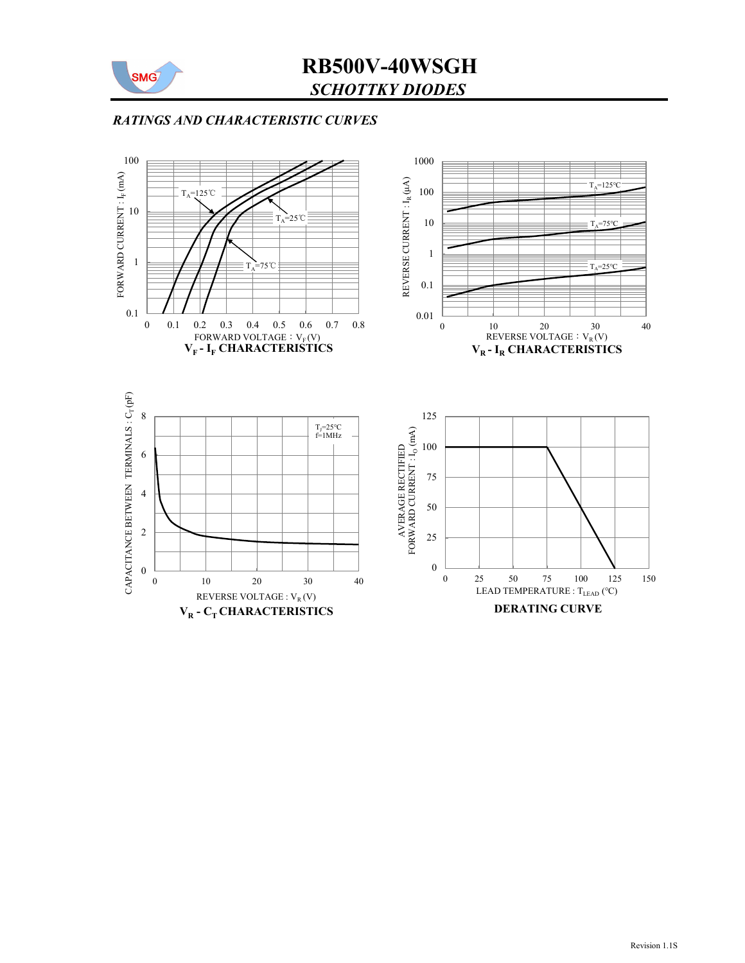

# SCHOTTKY DIODES RB500V-40WSGH

### RATINGS AND CHARACTERISTIC CURVES

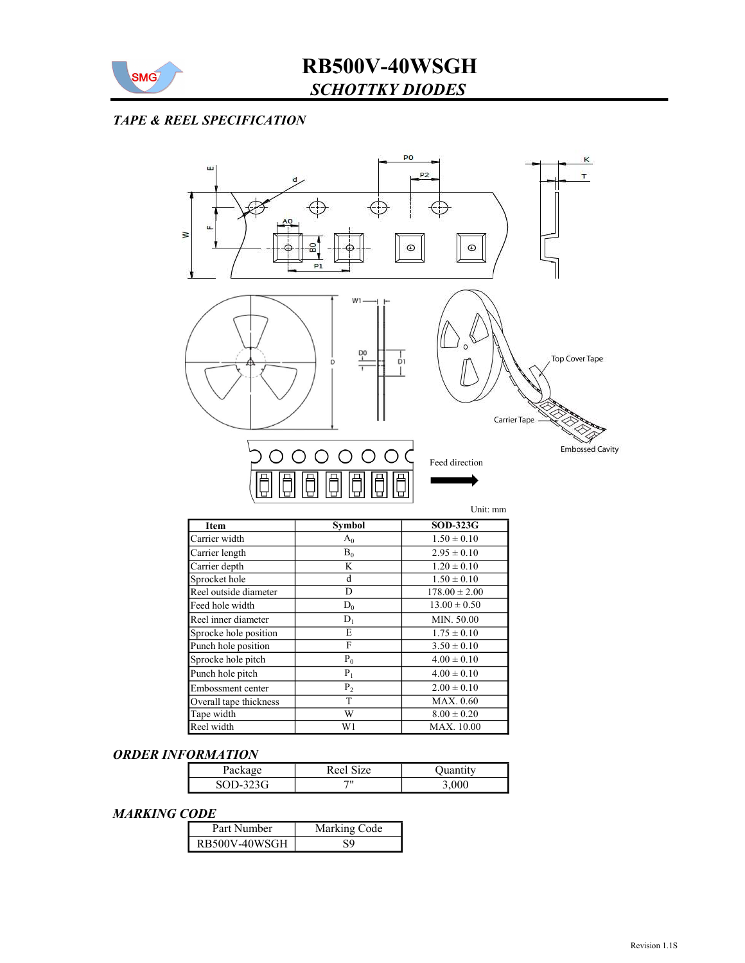

### TAPE & REEL SPECIFICATION



T MAX. 0.60

 $P_0$  4.00 ± 0.10  $P_1$  4.00 ± 0.10  $P_2$  2.00  $\pm$  0.10

MAX. 10.00

# ORDER INFORMATION

Sprocke hole pitch Punch hole pitch Embossment center Overall tape thickness

| $\alpha$<br>ғаска | Reel Size |      |  |
|-------------------|-----------|------|--|
| $-323G$<br>SOD-:  | 711       | .000 |  |

Tape width W 8.00 ± 0.20<br>
Reel width W1 MAX. 10.00

#### MARKING CODE

| Part Number |               | Marking Code |  |
|-------------|---------------|--------------|--|
|             | RB500V-40WSGH |              |  |